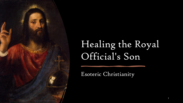

# Healing the Royal Official's Son

1

Esoteric Christianity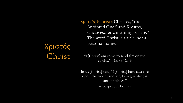## Χριστός Christ

Χριστός (Christ): Christos, "the Anointed One," and Krestos, whose esoteric meaning is "fire." The word Christ is a title, not a personal name.

"I [Christ] am come to send fire on the earth..." —Luke 12:49

Jesus [Christ] said, "I [Christ] have cast fire upon the world, and see, I am guarding it until it blazes." —Gospel of Thomas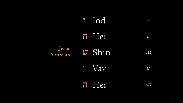|                  | ' Iod  | Y         |
|------------------|--------|-----------|
|                  | h Hei  | $\,E$     |
| Jesus<br>Yeshuah | W Shin | <b>SH</b> |
|                  | 1 Vav  | U         |
|                  | 7 Hei  | AН        |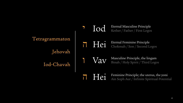Tetragrammaton Jehovah Iod-Chavah י Iod Eternal Masculine Principle Kether / Father / First Logos

I Hei Eternal Feminine Principle Chokmah / Son / Second Logos

1 Vav Masculine Principle, the lingam<br>Binah / Holy Spirit / Third Logos

THEI Feminine Principle; the uterus, the yoni<br>
Ain Soph Aur / Infinite Spiritual Potential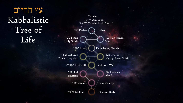עץ החיים Kabbalistic Tree of  $Life$   ${\rm Lie}$  Binah  ${\rm Holy}$  Spirit

אין Ain אין סוף Ain Soph אין סוף אור Ain Soph Aur

Kether כתר Father

Holy Spirit

Geburah גבורה Power, Intuition

Tiphereth תפארת

Hod הוד Emotion

Yesod יסוד

מלכות Malkuth Physical Body

Chokmah חכמה

Son

דעת Daath (Knowledge, Gnosis

Chesed חסד Mercy, Love, Spirit

Volition, Will

Netzach נצח Mind

Sex, Vitality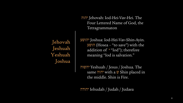Jehovah Jeshuah Yeshuah Joshua

 יהוה Jehovah: Iod-Hei-Vav-Hei. The Four Lettered Name of God, the Tetragrammaton

יהושע Joshua: Iod-Hei-Vav-Shin-Ayin. הושע) Hosea – "to save") with the addition of ' "Iod"); therefore meaning "Iod is salvation."

יהשוה Yeshuah / Jesus / Joshua. The same יהוה with a ש Shin placed in the middle. Shin is Fire.

יהודה Iehudah / Judah / Judaea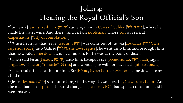## John 4: Healing the Royal Official's Son

46 So Jesus [Iesous, Yeshuah, הוה [יהושע] came again into Cana of Galilee [קנה הגליל], where he made the water wine. And there was a certain nobleman, whose son was sick at Capernaum ["city of consolation"].

<sup>47</sup> When he heard that Jesus [Iesous, יהושע [was come out of Judaea [Ioudaias, יהודה, the superior space] into Galilee [הגליל, the lower space], he went unto him, and besought him that he would come down, and heal his son: for he was at the point of death.

<sup>48</sup>Then said Jesus [Iesous, יהושע [unto him, Except ye see [ὁράω, horaó, ראה, raah] signs [σημεῖον, sémeion, "miracle" , נס nes] and wonders, ye will not have faith [πίστις, pistis].

<sup>49</sup>The royal official saith unto him, Sir [Κύριε, Kyrie: Lord or Master], come down ere my child die.

50 Jesus [Iesous, און saith unto him, Go thy way; thy son liveth [ζάω zao, יח chaim]. And the man had faith [pistis] the word that Jesus [Iesous, יהושע [had spoken unto him, and he went his way.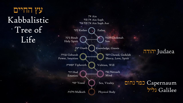עץ החיים Kabbalistic Tree of  $\mathbf{Lie}$  בינה Binah בינה Binah

אין Ain אין סוף Ain Soph אין סוף אור Ain Soph Aur

Father

Kether כתר

Holy Spirit

Geburah גבורה Power, Intuition

Tiphereth תפארת

Hod הוד Emotion

Yesod יסוד

מלכות Malkuth Physical Body

Chokmah חכמה Son

דעת Daath (Knowledge, Gnosis

חסד Chesed, Gedulah Mercy, Love, Spirit

Volition, Will

Netzach נצח Mind

Sex, Vitality

Capernaum כפר נחום Galilee גליל

Judaea יהודה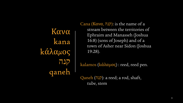Κανα kana kάλαμος קנה qaneh

Cana (Kανα, קנה): is the name of a stream between the territories of Ephraim and Manasseh (Joshua 16:8) (sons of Joseph) and of a town of Asher near Sidon (Joshua 19:28).

kalamos (kάλαμος) : reed, reed pen.

Qaneh (קנה): a reed; a rod, shaft, tube, stem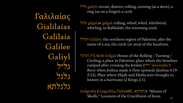Γαλιλαίας Gialilaias Galilaia Galilee Galiyl גליל גלגל גלגלתא

גליל galiyl: circuit, district; rolling, turning (as a door); a ring (as on a finger); a cycle

גלגל gilgal *or* galgal: rolling, wheel, whirl, whirlwind, whirling; in Kabbalah, the returning souls

הגליל Galilee: the northern region of Palestine, also the name of a sea; the circle (or area) of the heathens.

הגלגל בית Beth-Gilgal: House of the Rolling / Turning / Circling; a place in Palestine; place where the Israelites camped after crossing the Jordan (ירדן' descender') River when Joshua made it flow upwards (Joshua 4:19 - 5:12). Place where Elijah and Elisha were brought to heaven in a hurricane (2 Kings 2:1).

Golgotha (Gulgoltha, Γολγοθᾶ, גלגלתא): "Mount of Skulls," Location of the Crucifixion of Jesus.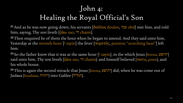## John 4: Healing the Royal Official's Son

<sup>51</sup> And as he was now going down, his servants [δοῦλος doulos, ٦ ] obd] met him, and told him, saying, Thy son liveth  $\left[\zeta \alpha \omega$  zao,  $\eta$  chaim].

<sup>52</sup> Then enquired he of them the hour when he began to amend. And they said unto him, Yesterday at the seventh hour [i zayin] the fever [πυρετός, puretos: "scorching heat"] left him.

53 So the father knew that it was at the same hour [i zayin], in the which Jesus [Iesous, יהושע] said unto him, Thy son liveth  $\zeta \alpha \omega$  zao,  $\eta$  chaim]: and himself believed [πίστις, pistis], and his whole house.

 $54$ This is again the second miracle that Jesus [Iesous, יהושע did, when he was come out of Judaea [Ioudaias, הגליל] into Galilee [הגליל].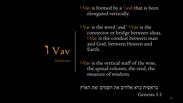ו Vav is formed by a י iod that is been elongated vertically.

ו Vav is the word '*and*.' ו Vav is the connector or bridge between ideas. ו Vav is the conduit between man and God, between Heaven and Earth.

**IVav** 

Sixth Letter

ו Vav is the vertical staff of the wise, the spinal column, the reed, the measure of wisdom.

בראשית ברא אלהים את השמים ואת הארץ Genesis 1:1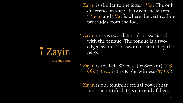ז Zayin is similar to the letter ו Vav. The only difference in shape between the letters ז Zayin and ו Vav is where the vertical line protrudes from the Iod.

ז Zayin means sword. It is also associated with the tongue. The tongue is a twoedged sword. The sword is carried by the hero.

ז Zayin is the Left Witness (or Servant) (עבד Obd), ו Vav is the Right Witness (עד Od).

ז Zayin is our feminine sexual power that must be rectified. It is currently fallen.

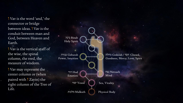I Vav is the word 'and,' the connector or bridge between ideas. I Vav is the conduit between man and God, between Heaven and Earth.

ו Vav is the vertical staff of the wise, the spinal column, the reed, the measure of wisdom.

ו Vav may represent the center column or (when paired with *I* Zayin) the right column of the Tree of Life.

Binah בינה Holy Spirit

Geburah גבורה Power, Intuition

> Hod הוד Emotion

מלכות Malkuth Physical Body

Chesed חסד / Gedulah גדולה Goodness, Mercy, Love, Spirit

Netzach נצח Mind

יסוד  $\gamma$ esod  $\setminus \left( \begin{array}{c} \ \ \end{array} \right) \,$  Sex, Vitality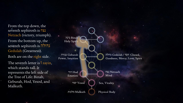From the top down, the seventh sephiroth is נצח Netzach (victory, triumph). From the bottom up, the seventh sephiroth is גדולה Gedulah (Greatness). Both are on the right side. The seventh letter is I zayin, which stands tall. It represents the left side of

the Tree of Life: Binah, Geburah, Hod, Yesod, and Malkuth.

Binah בינה Holy Spirit

Geburah גבורה Power, Intuition

> Hod הוד Emotion

מלכות Malkuth Physical Body

Chesed חסד / Gedulah גדולה Goodness, Mercy, Love, Spirit

Netzach נצח Mind

יסוד  $\mathbf{Y}$ esod  $\setminus \begin{pmatrix} & \ & \end{pmatrix} \setminus \mathbf{Sex}$ , Vitality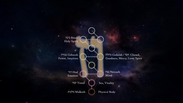Binah בינה Holy Spirit

Geburah גבורה Power, Intuition

> Hod הוד Emotion

מלכות Malkuth $\quad \begin{pmatrix} \quad & \quad \\ \quad & \quad \end{pmatrix}$  Physical Body

Chesed חסד / Gedulah גדולה Goodness, Mercy, Love, Spirit

Netzach נצח Mind

יסוד  $\mathbf{Yesod} \setminus \begin{pmatrix} \ \ \ \ \ \end{pmatrix} \ \ \end{pmatrix}$  Sex, Vitality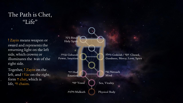#### The Path is Chet, "Life"

ז Zayin means weapon or sword and represents the returning light on the left side, which crowns or illuminates the וvav of the right side.

Together, ז Zayin on the left, and I Vav on the right, form ח chet, which is life, <sup>n</sup> chaim.

Binah בינה **Holy Spirit** 

Geburah גבורה Power, Intuition

> Hod הוד Emotion

מלכות Malkuth Physical Body

Chesed חסד / Gedulah גדולה Goodness, Mercy, Love, Spirit

Netzach נצח Mind

יסוד  $\mathbf{Y}$ esod  $\setminus \begin{pmatrix} & \ & \end{pmatrix} \setminus \mathbf{Sex}$ , Vitality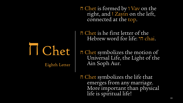ח Chet is formed by ו Vav on the right, and ז Zayin on the left, connected at the top.

ח Chet is he first letter of the Hebrew word for life:  $\overline{\eta}$  chai.

Chet ח

Eighth Letter

ח Chet symbolizes the motion of Universal Life, the Light of the Ain Soph Aur.

ח Chet symbolizes the life that emerges from any marriage. More important than physical life is spiritual life!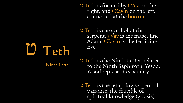ט Teth is formed by ו Vav on the right, and ז Zayin on the left, connected at the bottom.

ט Teth is the symbol of the serpent. I Vav is the masculine Adam, *I* Zayin is the feminine Eve.

**U** Teth

Ninth Letter

ט Teth is the Ninth Letter, related to the Ninth Sephiroth, Yesod. Yesod represents sexuality.

ט Teth is the tempting serpent of paradise, the crucible of spiritual knowledge (gnosis).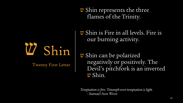ש Shin represents the three flames of the Trinity.

W Shin

Twenty First Letter

ש Shin is Fire in all levels. Fire is our burning activity.

ש Shin can be polarized negatively or positively. The Devil's pitchfork is an inverted w Shin.

*Temptation is fire. Triumph over temptation is light.* - Samael Aun Weor